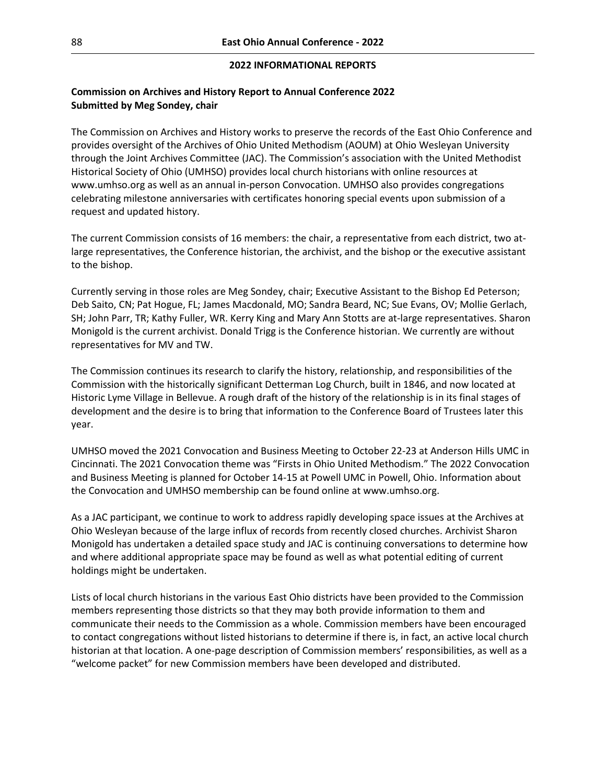### **2022 INFORMATIONAL REPORTS**

# **Commission on Archives and History Report to Annual Conference 2022 Submitted by Meg Sondey, chair**

The Commission on Archives and History works to preserve the records of the East Ohio Conference and provides oversight of the Archives of Ohio United Methodism (AOUM) at Ohio Wesleyan University through the Joint Archives Committee (JAC). The Commission's association with the United Methodist Historical Society of Ohio (UMHSO) provides local church historians with online resources at www.umhso.org as well as an annual in-person Convocation. UMHSO also provides congregations celebrating milestone anniversaries with certificates honoring special events upon submission of a request and updated history.

The current Commission consists of 16 members: the chair, a representative from each district, two atlarge representatives, the Conference historian, the archivist, and the bishop or the executive assistant to the bishop.

Currently serving in those roles are Meg Sondey, chair; Executive Assistant to the Bishop Ed Peterson; Deb Saito, CN; Pat Hogue, FL; James Macdonald, MO; Sandra Beard, NC; Sue Evans, OV; Mollie Gerlach, SH; John Parr, TR; Kathy Fuller, WR. Kerry King and Mary Ann Stotts are at-large representatives. Sharon Monigold is the current archivist. Donald Trigg is the Conference historian. We currently are without representatives for MV and TW.

The Commission continues its research to clarify the history, relationship, and responsibilities of the Commission with the historically significant Detterman Log Church, built in 1846, and now located at Historic Lyme Village in Bellevue. A rough draft of the history of the relationship is in its final stages of development and the desire is to bring that information to the Conference Board of Trustees later this year.

UMHSO moved the 2021 Convocation and Business Meeting to October 22-23 at Anderson Hills UMC in Cincinnati. The 2021 Convocation theme was "Firsts in Ohio United Methodism." The 2022 Convocation and Business Meeting is planned for October 14-15 at Powell UMC in Powell, Ohio. Information about the Convocation and UMHSO membership can be found online at www.umhso.org.

As a JAC participant, we continue to work to address rapidly developing space issues at the Archives at Ohio Wesleyan because of the large influx of records from recently closed churches. Archivist Sharon Monigold has undertaken a detailed space study and JAC is continuing conversations to determine how and where additional appropriate space may be found as well as what potential editing of current holdings might be undertaken.

Lists of local church historians in the various East Ohio districts have been provided to the Commission members representing those districts so that they may both provide information to them and communicate their needs to the Commission as a whole. Commission members have been encouraged to contact congregations without listed historians to determine if there is, in fact, an active local church historian at that location. A one-page description of Commission members' responsibilities, as well as a "welcome packet" for new Commission members have been developed and distributed.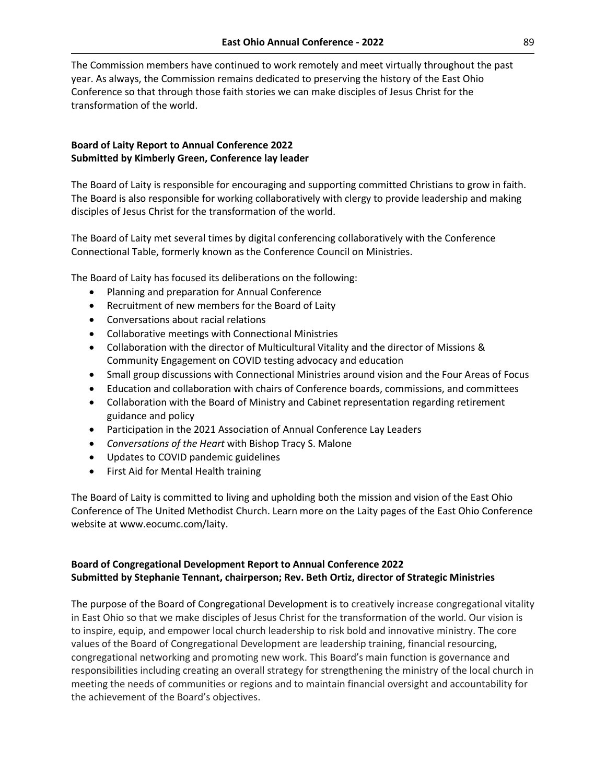The Commission members have continued to work remotely and meet virtually throughout the past year. As always, the Commission remains dedicated to preserving the history of the East Ohio Conference so that through those faith stories we can make disciples of Jesus Christ for the transformation of the world.

# **Board of Laity Report to Annual Conference 2022 Submitted by Kimberly Green, Conference lay leader**

The Board of Laity is responsible for encouraging and supporting committed Christians to grow in faith. The Board is also responsible for working collaboratively with clergy to provide leadership and making disciples of Jesus Christ for the transformation of the world.

The Board of Laity met several times by digital conferencing collaboratively with the Conference Connectional Table, formerly known as the Conference Council on Ministries.

The Board of Laity has focused its deliberations on the following:

- Planning and preparation for Annual Conference
- Recruitment of new members for the Board of Laity
- Conversations about racial relations
- Collaborative meetings with Connectional Ministries
- Collaboration with the director of Multicultural Vitality and the director of Missions & Community Engagement on COVID testing advocacy and education
- Small group discussions with Connectional Ministries around vision and the Four Areas of Focus
- Education and collaboration with chairs of Conference boards, commissions, and committees
- Collaboration with the Board of Ministry and Cabinet representation regarding retirement guidance and policy
- Participation in the 2021 Association of Annual Conference Lay Leaders
- *Conversations of the Heart* with Bishop Tracy S. Malone
- Updates to COVID pandemic guidelines
- First Aid for Mental Health training

The Board of Laity is committed to living and upholding both the mission and vision of the East Ohio Conference of The United Methodist Church. Learn more on the Laity pages of the East Ohio Conference website at www.eocumc.com/laity.

# **Board of Congregational Development Report to Annual Conference 2022 Submitted by Stephanie Tennant, chairperson; Rev. Beth Ortiz, director of Strategic Ministries**

The purpose of the Board of Congregational Development is to creatively increase congregational vitality in East Ohio so that we make disciples of Jesus Christ for the transformation of the world. Our vision is to inspire, equip, and empower local church leadership to risk bold and innovative ministry. The core values of the Board of Congregational Development are leadership training, financial resourcing, congregational networking and promoting new work. This Board's main function is governance and responsibilities including creating an overall strategy for strengthening the ministry of the local church in meeting the needs of communities or regions and to maintain financial oversight and accountability for the achievement of the Board's objectives.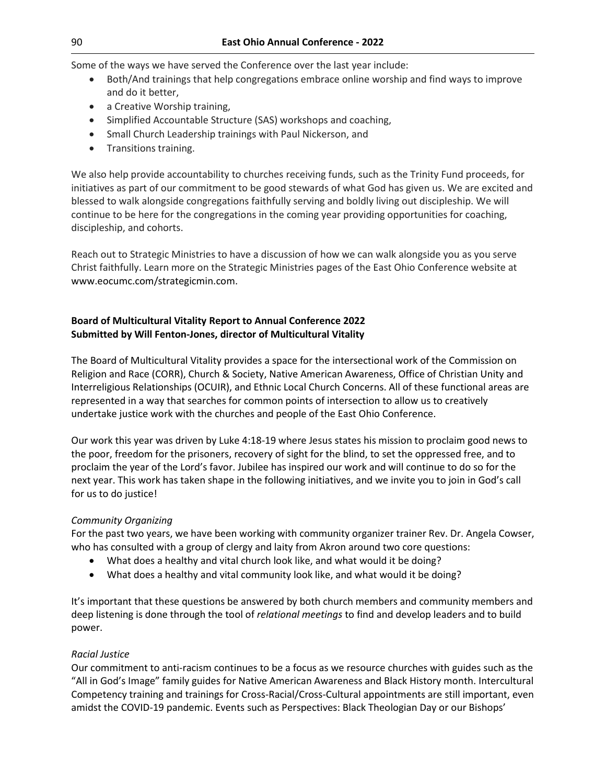Some of the ways we have served the Conference over the last year include:

- Both/And trainings that help congregations embrace online worship and find ways to improve and do it better,
- a Creative Worship training,
- Simplified Accountable Structure (SAS) workshops and coaching,
- Small Church Leadership trainings with Paul Nickerson, and
- Transitions training.

We also help provide accountability to churches receiving funds, such as the Trinity Fund proceeds, for initiatives as part of our commitment to be good stewards of what God has given us. We are excited and blessed to walk alongside congregations faithfully serving and boldly living out discipleship. We will continue to be here for the congregations in the coming year providing opportunities for coaching, discipleship, and cohorts.

Reach out to Strategic Ministries to have a discussion of how we can walk alongside you as you serve Christ faithfully. Learn more on the Strategic Ministries pages of the East Ohio Conference website at www.eocumc.com/strategicmin.com.

# **Board of Multicultural Vitality Report to Annual Conference 2022 Submitted by Will Fenton-Jones, director of Multicultural Vitality**

The Board of Multicultural Vitality provides a space for the intersectional work of the Commission on Religion and Race (CORR), Church & Society, Native American Awareness, Office of Christian Unity and Interreligious Relationships (OCUIR), and Ethnic Local Church Concerns. All of these functional areas are represented in a way that searches for common points of intersection to allow us to creatively undertake justice work with the churches and people of the East Ohio Conference.

Our work this year was driven by Luke 4:18-19 where Jesus states his mission to proclaim good news to the poor, freedom for the prisoners, recovery of sight for the blind, to set the oppressed free, and to proclaim the year of the Lord's favor. Jubilee has inspired our work and will continue to do so for the next year. This work has taken shape in the following initiatives, and we invite you to join in God's call for us to do justice!

# *Community Organizing*

For the past two years, we have been working with community organizer trainer Rev. Dr. Angela Cowser, who has consulted with a group of clergy and laity from Akron around two core questions:

- What does a healthy and vital church look like, and what would it be doing?
- What does a healthy and vital community look like, and what would it be doing?

It's important that these questions be answered by both church members and community members and deep listening is done through the tool of *relational meetings* to find and develop leaders and to build power.

# *Racial Justice*

Our commitment to anti-racism continues to be a focus as we resource churches with guides such as the "All in God's Image" family guides for Native American Awareness and Black History month. Intercultural Competency training and trainings for Cross-Racial/Cross-Cultural appointments are still important, even amidst the COVID-19 pandemic. Events such as Perspectives: Black Theologian Day or our Bishops'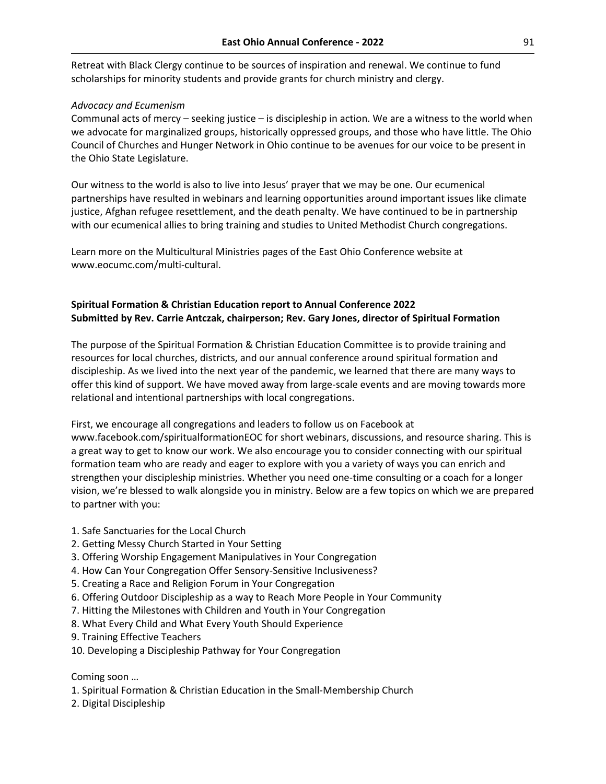Retreat with Black Clergy continue to be sources of inspiration and renewal. We continue to fund scholarships for minority students and provide grants for church ministry and clergy.

#### *Advocacy and Ecumenism*

Communal acts of mercy – seeking justice – is discipleship in action. We are a witness to the world when we advocate for marginalized groups, historically oppressed groups, and those who have little. The Ohio Council of Churches and Hunger Network in Ohio continue to be avenues for our voice to be present in the Ohio State Legislature.

Our witness to the world is also to live into Jesus' prayer that we may be one. Our ecumenical partnerships have resulted in webinars and learning opportunities around important issues like climate justice, Afghan refugee resettlement, and the death penalty. We have continued to be in partnership with our ecumenical allies to bring training and studies to United Methodist Church congregations.

Learn more on the Multicultural Ministries pages of the East Ohio Conference website at [www.eocumc.com/multi-cultural.](http://www.eocumc.com/multi-cultural)

# **Spiritual Formation & Christian Education report to Annual Conference 2022 Submitted by Rev. Carrie Antczak, chairperson; Rev. Gary Jones, director of Spiritual Formation**

The purpose of the Spiritual Formation & Christian Education Committee is to provide training and resources for local churches, districts, and our annual conference around spiritual formation and discipleship. As we lived into the next year of the pandemic, we learned that there are many ways to offer this kind of support. We have moved away from large-scale events and are moving towards more relational and intentional partnerships with local congregations.

First, we encourage all congregations and leaders to follow us on Facebook at www.facebook.com/spiritualformationEOC for short webinars, discussions, and resource sharing. This is a great way to get to know our work. We also encourage you to consider connecting with our spiritual formation team who are ready and eager to explore with you a variety of ways you can enrich and strengthen your discipleship ministries. Whether you need one-time consulting or a coach for a longer vision, we're blessed to walk alongside you in ministry. Below are a few topics on which we are prepared to partner with you:

- 1. Safe Sanctuaries for the Local Church
- 2. Getting Messy Church Started in Your Setting
- 3. Offering Worship Engagement Manipulatives in Your Congregation
- 4. How Can Your Congregation Offer Sensory-Sensitive Inclusiveness?
- 5. Creating a Race and Religion Forum in Your Congregation
- 6. Offering Outdoor Discipleship as a way to Reach More People in Your Community
- 7. Hitting the Milestones with Children and Youth in Your Congregation
- 8. What Every Child and What Every Youth Should Experience
- 9. Training Effective Teachers
- 10. Developing a Discipleship Pathway for Your Congregation

Coming soon …

- 1. Spiritual Formation & Christian Education in the Small-Membership Church
- 2. Digital Discipleship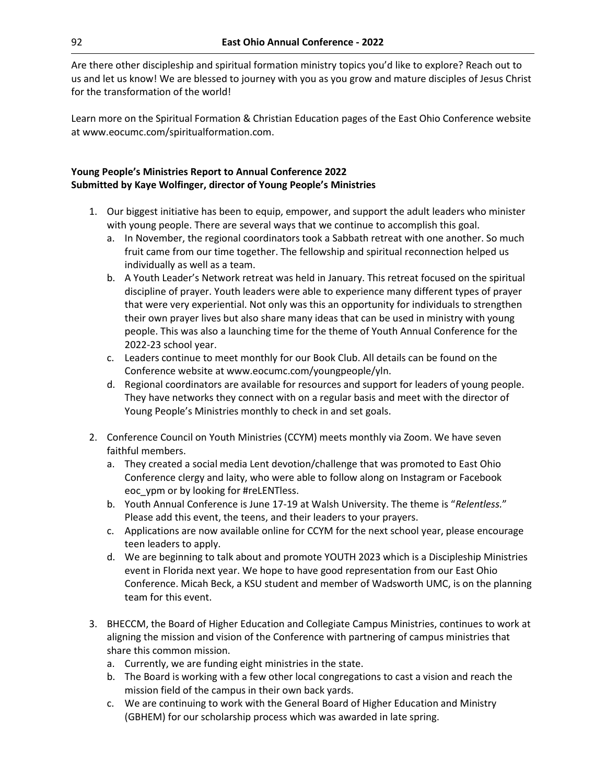Are there other discipleship and spiritual formation ministry topics you'd like to explore? Reach out to us and let us know! We are blessed to journey with you as you grow and mature disciples of Jesus Christ for the transformation of the world!

Learn more on the Spiritual Formation & Christian Education pages of the East Ohio Conference website at www.eocumc.com/spiritualformation.com.

# **Young People's Ministries Report to Annual Conference 2022 Submitted by Kaye Wolfinger, director of Young People's Ministries**

- 1. Our biggest initiative has been to equip, empower, and support the adult leaders who minister with young people. There are several ways that we continue to accomplish this goal.
	- a. In November, the regional coordinators took a Sabbath retreat with one another. So much fruit came from our time together. The fellowship and spiritual reconnection helped us individually as well as a team.
	- b. A Youth Leader's Network retreat was held in January. This retreat focused on the spiritual discipline of prayer. Youth leaders were able to experience many different types of prayer that were very experiential. Not only was this an opportunity for individuals to strengthen their own prayer lives but also share many ideas that can be used in ministry with young people. This was also a launching time for the theme of Youth Annual Conference for the 2022-23 school year.
	- c. Leaders continue to meet monthly for our Book Club. All details can be found on the Conference website at www.eocumc.com/youngpeople/yln.
	- d. Regional coordinators are available for resources and support for leaders of young people. They have networks they connect with on a regular basis and meet with the director of Young People's Ministries monthly to check in and set goals.
- 2. Conference Council on Youth Ministries (CCYM) meets monthly via Zoom. We have seven faithful members.
	- a. They created a social media Lent devotion/challenge that was promoted to East Ohio Conference clergy and laity, who were able to follow along on Instagram or Facebook eoc\_ypm or by looking for #reLENTless.
	- b. Youth Annual Conference is June 17-19 at Walsh University. The theme is "*Relentless.*" Please add this event, the teens, and their leaders to your prayers.
	- c. Applications are now available online for CCYM for the next school year, please encourage teen leaders to apply.
	- d. We are beginning to talk about and promote YOUTH 2023 which is a Discipleship Ministries event in Florida next year. We hope to have good representation from our East Ohio Conference. Micah Beck, a KSU student and member of Wadsworth UMC, is on the planning team for this event.
- 3. BHECCM, the Board of Higher Education and Collegiate Campus Ministries, continues to work at aligning the mission and vision of the Conference with partnering of campus ministries that share this common mission.
	- a. Currently, we are funding eight ministries in the state.
	- b. The Board is working with a few other local congregations to cast a vision and reach the mission field of the campus in their own back yards.
	- c. We are continuing to work with the General Board of Higher Education and Ministry (GBHEM) for our scholarship process which was awarded in late spring.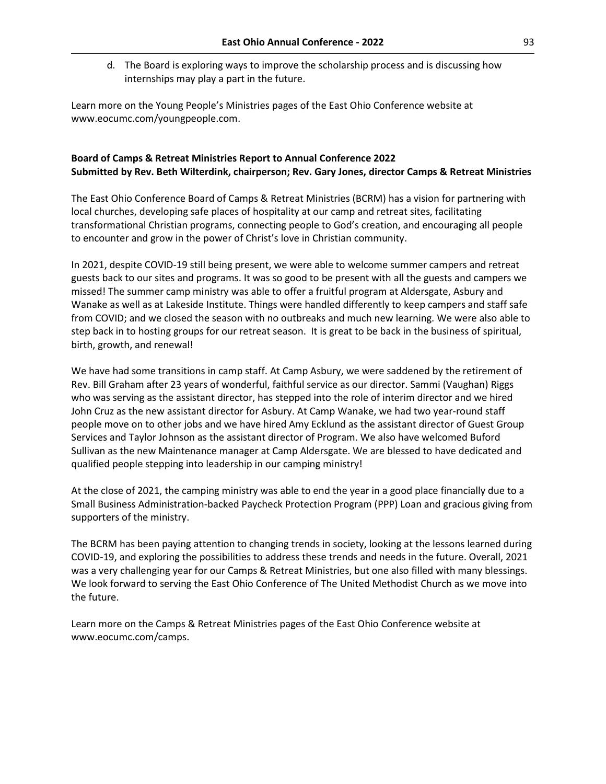d. The Board is exploring ways to improve the scholarship process and is discussing how internships may play a part in the future.

Learn more on the Young People's Ministries pages of the East Ohio Conference website at www.eocumc.com/youngpeople.com.

# **Board of Camps & Retreat Ministries Report to Annual Conference 2022 Submitted by Rev. Beth Wilterdink, chairperson; Rev. Gary Jones, director Camps & Retreat Ministries**

The East Ohio Conference Board of Camps & Retreat Ministries (BCRM) has a vision for partnering with local churches, developing safe places of hospitality at our camp and retreat sites, facilitating transformational Christian programs, connecting people to God's creation, and encouraging all people to encounter and grow in the power of Christ's love in Christian community.

In 2021, despite COVID-19 still being present, we were able to welcome summer campers and retreat guests back to our sites and programs. It was so good to be present with all the guests and campers we missed! The summer camp ministry was able to offer a fruitful program at Aldersgate, Asbury and Wanake as well as at Lakeside Institute. Things were handled differently to keep campers and staff safe from COVID; and we closed the season with no outbreaks and much new learning. We were also able to step back in to hosting groups for our retreat season. It is great to be back in the business of spiritual, birth, growth, and renewal!

We have had some transitions in camp staff. At Camp Asbury, we were saddened by the retirement of Rev. Bill Graham after 23 years of wonderful, faithful service as our director. Sammi (Vaughan) Riggs who was serving as the assistant director, has stepped into the role of interim director and we hired John Cruz as the new assistant director for Asbury. At Camp Wanake, we had two year-round staff people move on to other jobs and we have hired Amy Ecklund as the assistant director of Guest Group Services and Taylor Johnson as the assistant director of Program. We also have welcomed Buford Sullivan as the new Maintenance manager at Camp Aldersgate. We are blessed to have dedicated and qualified people stepping into leadership in our camping ministry!

At the close of 2021, the camping ministry was able to end the year in a good place financially due to a Small Business Administration-backed Paycheck Protection Program (PPP) Loan and gracious giving from supporters of the ministry.

The BCRM has been paying attention to changing trends in society, looking at the lessons learned during COVID-19, and exploring the possibilities to address these trends and needs in the future. Overall, 2021 was a very challenging year for our Camps & Retreat Ministries, but one also filled with many blessings. We look forward to serving the East Ohio Conference of The United Methodist Church as we move into the future.

Learn more on the Camps & Retreat Ministries pages of the East Ohio Conference website at [www.eocumc.com/camps.](http://www.eocumc.com/camps)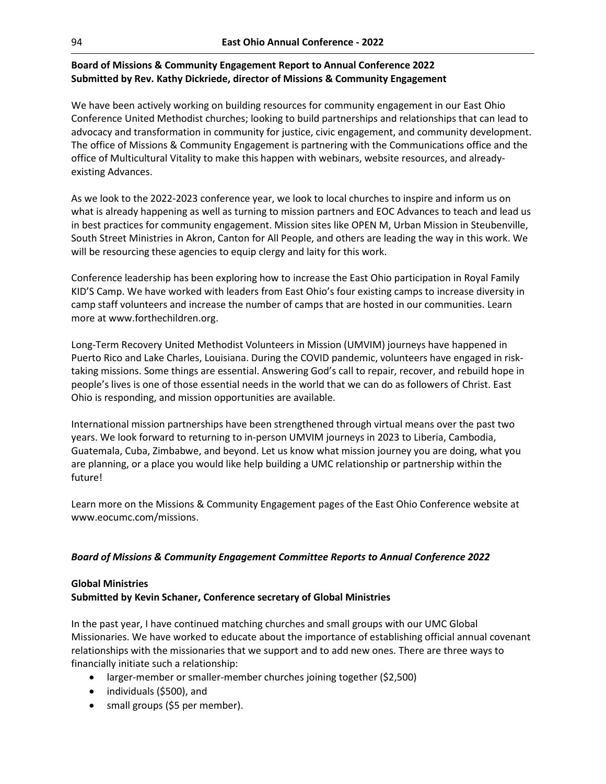# **Board of Missions & Community Engagement Report to Annual Conference 2022 Submitted by Rev. Kathy Dickriede, director of Missions & Community Engagement**

We have been actively working on building resources for community engagement in our East Ohio Conference United Methodist churches; looking to build partnerships and relationships that can lead to advocacy and transformation in community for justice, civic engagement, and community development. The office of Missions & Community Engagement is partnering with the Communications office and the office of Multicultural Vitality to make this happen with webinars, website resources, and alreadyexisting Advances.

As we look to the 2022-2023 conference year, we look to local churches to inspire and inform us on what is already happening as well as turning to mission partners and EOC Advances to teach and lead us in best practices for community engagement. Mission sites like OPEN M, Urban Mission in Steubenville, South Street Ministries in Akron, Canton for All People, and others are leading the way in this work. We will be resourcing these agencies to equip clergy and laity for this work.

Conference leadership has been exploring how to increase the East Ohio participation in Royal Family KID'S Camp. We have worked with leaders from East Ohio's four existing camps to increase diversity in camp staff volunteers and increase the number of camps that are hosted in our communities. Learn more at www.forthechildren.org.

Long-Term Recovery United Methodist Volunteers in Mission (UMVIM) journeys have happened in Puerto Rico and Lake Charles, Louisiana. During the COVID pandemic, volunteers have engaged in risktaking missions. Some things are essential. Answering God's call to repair, recover, and rebuild hope in people's lives is one of those essential needs in the world that we can do as followers of Christ. East Ohio is responding, and mission opportunities are available.

International mission partnerships have been strengthened through virtual means over the past two years. We look forward to returning to in-person UMVIM journeys in 2023 to Liberia, Cambodia, Guatemala, Cuba, Zimbabwe, and beyond. Let us know what mission journey you are doing, what you are planning, or a place you would like help building a UMC relationship or partnership within the future!

Learn more on the Missions & Community Engagement pages of the East Ohio Conference website at www.eocumc.com/missions.

# *Board of Missions & Community Engagement Committee Reports to Annual Conference 2022*

# **Global Ministries**

# **Submitted by Kevin Schaner, Conference secretary of Global Ministries**

In the past year, I have continued matching churches and small groups with our UMC Global Missionaries. We have worked to educate about the importance of establishing official annual covenant relationships with the missionaries that we support and to add new ones. There are three ways to financially initiate such a relationship:

- larger-member or smaller-member churches joining together (\$2,500)
- individuals (\$500), and
- small groups (\$5 per member).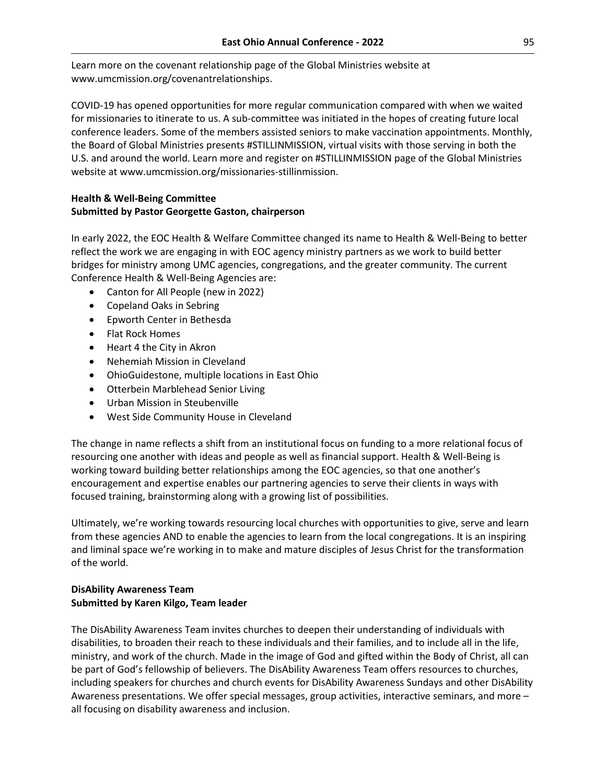Learn more on the covenant relationship page of the Global Ministries website at www.umcmission.org/covenantrelationships.

COVID-19 has opened opportunities for more regular communication compared with when we waited for missionaries to itinerate to us. A sub-committee was initiated in the hopes of creating future local conference leaders. Some of the members assisted seniors to make vaccination appointments. Monthly, the Board of Global Ministries presents #STILLINMISSION, virtual visits with those serving in both the U.S. and around the world. Learn more and register on #STILLINMISSION page of the Global Ministries website at www.umcmission.org/missionaries-stillinmission.

# **Health & Well-Being Committee Submitted by Pastor Georgette Gaston, chairperson**

In early 2022, the EOC Health & Welfare Committee changed its name to Health & Well-Being to better reflect the work we are engaging in with EOC agency ministry partners as we work to build better bridges for ministry among UMC agencies, congregations, and the greater community. The current Conference Health & Well-Being Agencies are:

- Canton for All People (new in 2022)
- Copeland Oaks in Sebring
- Epworth Center in Bethesda
- Flat Rock Homes
- Heart 4 the City in Akron
- Nehemiah Mission in Cleveland
- OhioGuidestone, multiple locations in East Ohio
- Otterbein Marblehead Senior Living
- Urban Mission in Steubenville
- West Side Community House in Cleveland

The change in name reflects a shift from an institutional focus on funding to a more relational focus of resourcing one another with ideas and people as well as financial support. Health & Well-Being is working toward building better relationships among the EOC agencies, so that one another's encouragement and expertise enables our partnering agencies to serve their clients in ways with focused training, brainstorming along with a growing list of possibilities.

Ultimately, we're working towards resourcing local churches with opportunities to give, serve and learn from these agencies AND to enable the agencies to learn from the local congregations. It is an inspiring and liminal space we're working in to make and mature disciples of Jesus Christ for the transformation of the world.

# **DisAbility Awareness Team Submitted by Karen Kilgo, Team leader**

The DisAbility Awareness Team invites churches to deepen their understanding of individuals with disabilities, to broaden their reach to these individuals and their families, and to include all in the life, ministry, and work of the church. Made in the image of God and gifted within the Body of Christ, all can be part of God's fellowship of believers. The DisAbility Awareness Team offers resources to churches, including speakers for churches and church events for DisAbility Awareness Sundays and other DisAbility Awareness presentations. We offer special messages, group activities, interactive seminars, and more – all focusing on disability awareness and inclusion.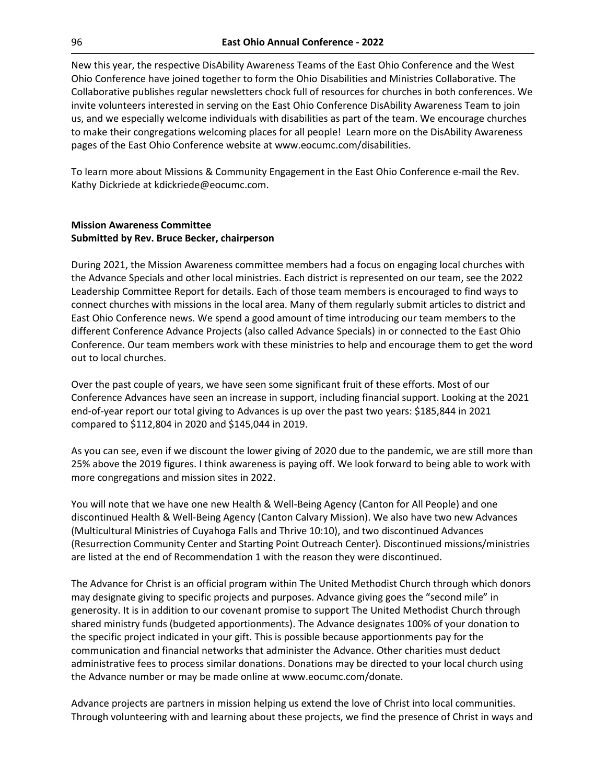New this year, the respective DisAbility Awareness Teams of the East Ohio Conference and the West Ohio Conference have joined together to form the Ohio Disabilities and Ministries Collaborative. The Collaborative publishes regular newsletters chock full of resources for churches in both conferences. We invite volunteers interested in serving on the East Ohio Conference DisAbility Awareness Team to join us, and we especially welcome individuals with disabilities as part of the team. We encourage churches to make their congregations welcoming places for all people! Learn more on the DisAbility Awareness pages of the East Ohio Conference website at www.eocumc.com/disabilities.

To learn more about Missions & Community Engagement in the East Ohio Conference e-mail the Rev. Kathy Dickriede at kdickriede@eocumc.com.

## **Mission Awareness Committee Submitted by Rev. Bruce Becker, chairperson**

During 2021, the Mission Awareness committee members had a focus on engaging local churches with the Advance Specials and other local ministries. Each district is represented on our team, see the 2022 Leadership Committee Report for details. Each of those team members is encouraged to find ways to connect churches with missions in the local area. Many of them regularly submit articles to district and East Ohio Conference news. We spend a good amount of time introducing our team members to the different Conference Advance Projects (also called Advance Specials) in or connected to the East Ohio Conference. Our team members work with these ministries to help and encourage them to get the word out to local churches.

Over the past couple of years, we have seen some significant fruit of these efforts. Most of our Conference Advances have seen an increase in support, including financial support. Looking at the 2021 end-of-year report our total giving to Advances is up over the past two years: \$185,844 in 2021 compared to \$112,804 in 2020 and \$145,044 in 2019.

As you can see, even if we discount the lower giving of 2020 due to the pandemic, we are still more than 25% above the 2019 figures. I think awareness is paying off. We look forward to being able to work with more congregations and mission sites in 2022.

You will note that we have one new Health & Well-Being Agency (Canton for All People) and one discontinued Health & Well-Being Agency (Canton Calvary Mission). We also have two new Advances (Multicultural Ministries of Cuyahoga Falls and Thrive 10:10), and two discontinued Advances (Resurrection Community Center and Starting Point Outreach Center). Discontinued missions/ministries are listed at the end of Recommendation 1 with the reason they were discontinued.

The Advance for Christ is an official program within The United Methodist Church through which donors may designate giving to specific projects and purposes. Advance giving goes the "second mile" in generosity. It is in addition to our covenant promise to support The United Methodist Church through shared ministry funds (budgeted apportionments). The Advance designates 100% of your donation to the specific project indicated in your gift. This is possible because apportionments pay for the communication and financial networks that administer the Advance. Other charities must deduct administrative fees to process similar donations. Donations may be directed to your local church using the Advance number or may be made online at www.eocumc.com/donate.

Advance projects are partners in mission helping us extend the love of Christ into local communities. Through volunteering with and learning about these projects, we find the presence of Christ in ways and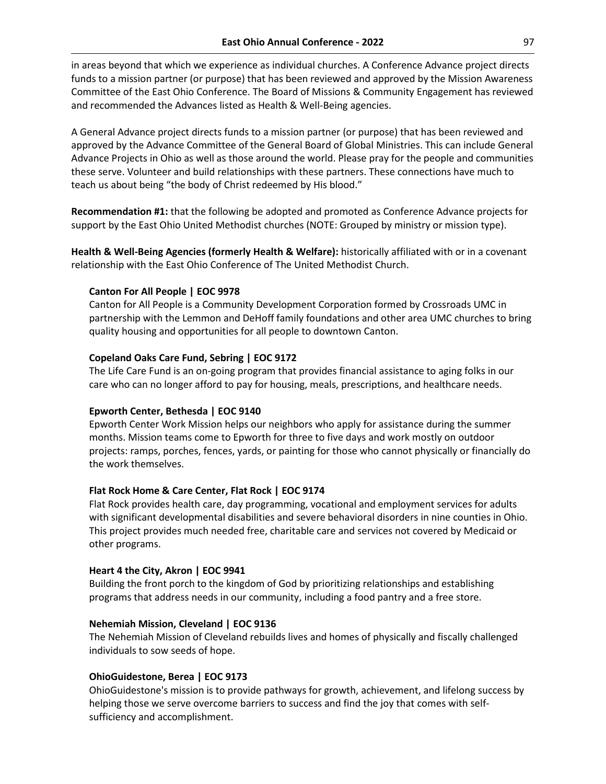in areas beyond that which we experience as individual churches. A Conference Advance project directs funds to a mission partner (or purpose) that has been reviewed and approved by the Mission Awareness Committee of the East Ohio Conference. The Board of Missions & Community Engagement has reviewed and recommended the Advances listed as Health & Well-Being agencies.

A General Advance project directs funds to a mission partner (or purpose) that has been reviewed and approved by the Advance Committee of the General Board of Global Ministries. This can include General Advance Projects in Ohio as well as those around the world. Please pray for the people and communities these serve. Volunteer and build relationships with these partners. These connections have much to teach us about being "the body of Christ redeemed by His blood."

**Recommendation #1:** that the following be adopted and promoted as Conference Advance projects for support by the East Ohio United Methodist churches (NOTE: Grouped by ministry or mission type).

**Health & Well-Being Agencies (formerly Health & Welfare):** historically affiliated with or in a covenant relationship with the East Ohio Conference of The United Methodist Church.

### **Canton For All People | EOC 9978**

Canton for All People is a Community Development Corporation formed by Crossroads UMC in partnership with the Lemmon and DeHoff family foundations and other area UMC churches to bring quality housing and opportunities for all people to downtown Canton.

### **Copeland Oaks Care Fund, Sebring | EOC 9172**

The Life Care Fund is an on-going program that provides financial assistance to aging folks in our care who can no longer afford to pay for housing, meals, prescriptions, and healthcare needs.

# **Epworth Center, Bethesda | EOC 9140**

Epworth Center Work Mission helps our neighbors who apply for assistance during the summer months. Mission teams come to Epworth for three to five days and work mostly on outdoor projects: ramps, porches, fences, yards, or painting for those who cannot physically or financially do the work themselves.

### **Flat Rock Home & Care Center, Flat Rock | EOC 9174**

Flat Rock provides health care, day programming, vocational and employment services for adults with significant developmental disabilities and severe behavioral disorders in nine counties in Ohio. This project provides much needed free, charitable care and services not covered by Medicaid or other programs.

### **Heart 4 the City, Akron | EOC 9941**

Building the front porch to the kingdom of God by prioritizing relationships and establishing programs that address needs in our community, including a food pantry and a free store.

### **Nehemiah Mission, Cleveland | EOC 9136**

The Nehemiah Mission of Cleveland rebuilds lives and homes of physically and fiscally challenged individuals to sow seeds of hope.

### **OhioGuidestone, Berea | EOC 9173**

OhioGuidestone's mission is to provide pathways for growth, achievement, and lifelong success by helping those we serve overcome barriers to success and find the joy that comes with selfsufficiency and accomplishment.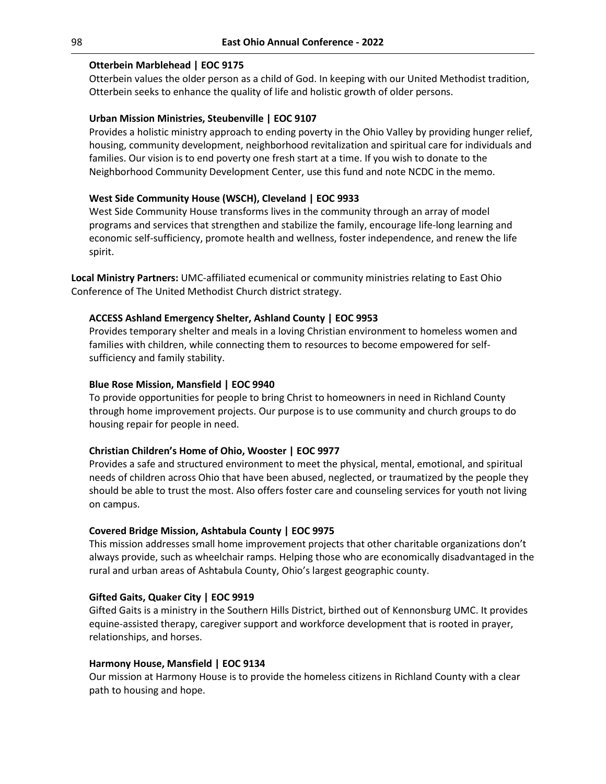## **Otterbein Marblehead | EOC 9175**

Otterbein values the older person as a child of God. In keeping with our United Methodist tradition, Otterbein seeks to enhance the quality of life and holistic growth of older persons.

## **Urban Mission Ministries, Steubenville | EOC 9107**

Provides a holistic ministry approach to ending poverty in the Ohio Valley by providing hunger relief, housing, community development, neighborhood revitalization and spiritual care for individuals and families. Our vision is to end poverty one fresh start at a time. If you wish to donate to the Neighborhood Community Development Center, use this fund and note NCDC in the memo.

## **West Side Community House (WSCH), Cleveland | EOC 9933**

West Side Community House transforms lives in the community through an array of model programs and services that strengthen and stabilize the family, encourage life-long learning and economic self-sufficiency, promote health and wellness, foster independence, and renew the life spirit.

**Local Ministry Partners:** UMC-affiliated ecumenical or community ministries relating to East Ohio Conference of The United Methodist Church district strategy.

## **ACCESS Ashland Emergency Shelter, Ashland County | EOC 9953**

Provides temporary shelter and meals in a loving Christian environment to homeless women and families with children, while connecting them to resources to become empowered for selfsufficiency and family stability.

### **Blue Rose Mission, Mansfield | EOC 9940**

To provide opportunities for people to bring Christ to homeowners in need in Richland County through home improvement projects. Our purpose is to use community and church groups to do housing repair for people in need.

### **Christian Children's Home of Ohio, Wooster | EOC 9977**

Provides a safe and structured environment to meet the physical, mental, emotional, and spiritual needs of children across Ohio that have been abused, neglected, or traumatized by the people they should be able to trust the most. Also offers foster care and counseling services for youth not living on campus.

### **Covered Bridge Mission, Ashtabula County | EOC 9975**

This mission addresses small home improvement projects that other charitable organizations don't always provide, such as wheelchair ramps. Helping those who are economically disadvantaged in the rural and urban areas of Ashtabula County, Ohio's largest geographic county.

### **Gifted Gaits, Quaker City | EOC 9919**

Gifted Gaits is a ministry in the Southern Hills District, birthed out of Kennonsburg UMC. It provides equine-assisted therapy, caregiver support and workforce development that is rooted in prayer, relationships, and horses.

### **Harmony House, Mansfield | EOC 9134**

Our mission at Harmony House is to provide the homeless citizens in Richland County with a clear path to housing and hope.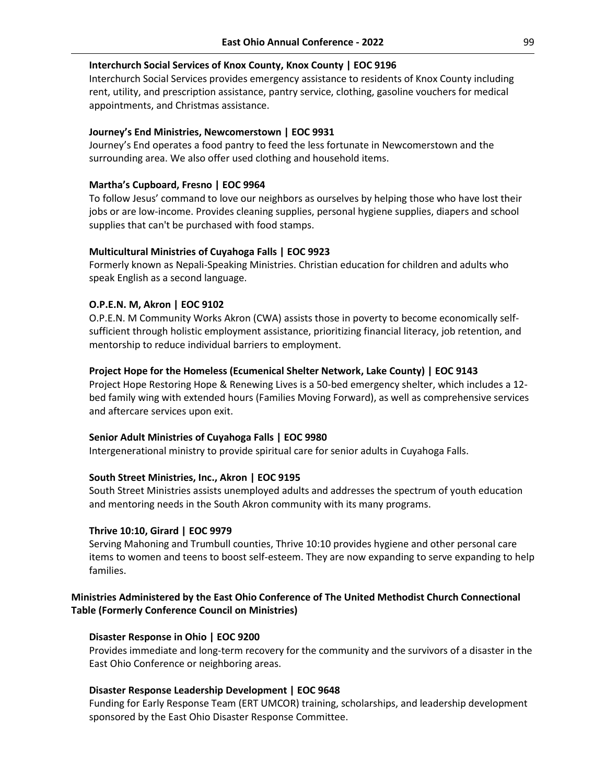## **Interchurch Social Services of Knox County, Knox County | EOC 9196**

Interchurch Social Services provides emergency assistance to residents of Knox County including rent, utility, and prescription assistance, pantry service, clothing, gasoline vouchers for medical appointments, and Christmas assistance.

#### **Journey's End Ministries, Newcomerstown | EOC 9931**

Journey's End operates a food pantry to feed the less fortunate in Newcomerstown and the surrounding area. We also offer used clothing and household items.

#### **Martha's Cupboard, Fresno | EOC 9964**

To follow Jesus' command to love our neighbors as ourselves by helping those who have lost their jobs or are low-income. Provides cleaning supplies, personal hygiene supplies, diapers and school supplies that can't be purchased with food stamps.

#### **Multicultural Ministries of Cuyahoga Falls | EOC 9923**

Formerly known as Nepali-Speaking Ministries. Christian education for children and adults who speak English as a second language.

#### **O.P.E.N. M, Akron | EOC 9102**

O.P.E.N. M Community Works Akron (CWA) assists those in poverty to become economically selfsufficient through holistic employment assistance, prioritizing financial literacy, job retention, and mentorship to reduce individual barriers to employment.

#### **Project Hope for the Homeless (Ecumenical Shelter Network, Lake County) | EOC 9143**

Project Hope Restoring Hope & Renewing Lives is a 50-bed emergency shelter, which includes a 12 bed family wing with extended hours (Families Moving Forward), as well as comprehensive services and aftercare services upon exit.

#### **Senior Adult Ministries of Cuyahoga Falls | EOC 9980**

Intergenerational ministry to provide spiritual care for senior adults in Cuyahoga Falls.

#### **South Street Ministries, Inc., Akron | EOC 9195**

South Street Ministries assists unemployed adults and addresses the spectrum of youth education and mentoring needs in the South Akron community with its many programs.

#### **Thrive 10:10, Girard | EOC 9979**

Serving Mahoning and Trumbull counties, Thrive 10:10 provides hygiene and other personal care items to women and teens to boost self-esteem. They are now expanding to serve expanding to help families.

# **Ministries Administered by the East Ohio Conference of The United Methodist Church Connectional Table (Formerly Conference Council on Ministries)**

#### **Disaster Response in Ohio | EOC 9200**

Provides immediate and long‐term recovery for the community and the survivors of a disaster in the East Ohio Conference or neighboring areas.

#### **Disaster Response Leadership Development | EOC 9648**

Funding for Early Response Team (ERT UMCOR) training, scholarships, and leadership development sponsored by the East Ohio Disaster Response Committee.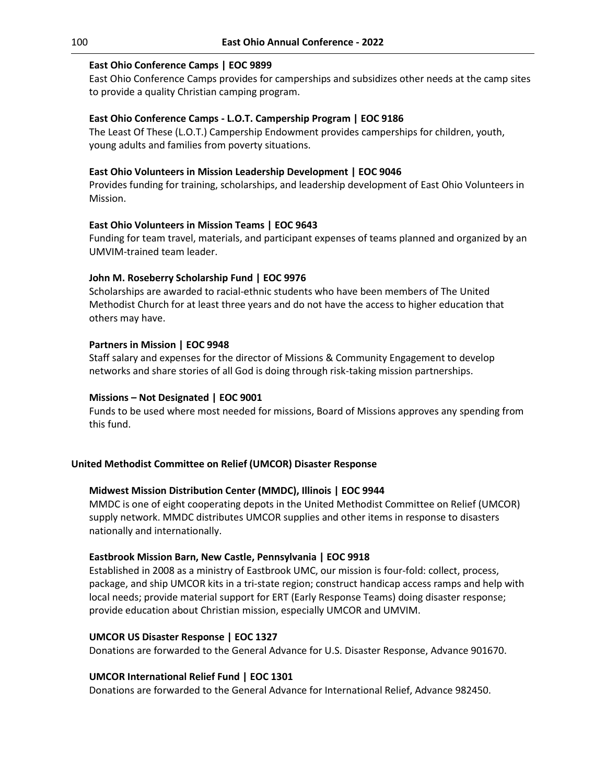## **East Ohio Conference Camps | EOC 9899**

East Ohio Conference Camps provides for camperships and subsidizes other needs at the camp sites to provide a quality Christian camping program.

## **East Ohio Conference Camps - L.O.T. Campership Program | EOC 9186**

The Least Of These (L.O.T.) Campership Endowment provides camperships for children, youth, young adults and families from poverty situations.

## **East Ohio Volunteers in Mission Leadership Development | EOC 9046**

Provides funding for training, scholarships, and leadership development of East Ohio Volunteers in Mission.

### **East Ohio Volunteers in Mission Teams | EOC 9643**

Funding for team travel, materials, and participant expenses of teams planned and organized by an UMVIM-trained team leader.

## **John M. Roseberry Scholarship Fund | EOC 9976**

Scholarships are awarded to racial-ethnic students who have been members of The United Methodist Church for at least three years and do not have the access to higher education that others may have.

## **Partners in Mission | EOC 9948**

Staff salary and expenses for the director of Missions & Community Engagement to develop networks and share stories of all God is doing through risk-taking mission partnerships.

### **Missions – Not Designated | EOC 9001**

Funds to be used where most needed for missions, Board of Missions approves any spending from this fund.

### **United Methodist Committee on Relief (UMCOR) Disaster Response**

### **Midwest Mission Distribution Center (MMDC), Illinois | EOC 9944**

MMDC is one of eight cooperating depots in the United Methodist Committee on Relief (UMCOR) supply network. MMDC distributes UMCOR supplies and other items in response to disasters nationally and internationally.

### **Eastbrook Mission Barn, New Castle, Pennsylvania | EOC 9918**

Established in 2008 as a ministry of Eastbrook UMC, our mission is four-fold: collect, process, package, and ship UMCOR kits in a tri-state region; construct handicap access ramps and help with local needs; provide material support for ERT (Early Response Teams) doing disaster response; provide education about Christian mission, especially UMCOR and UMVIM.

### **UMCOR US Disaster Response | EOC 1327**

Donations are forwarded to the General Advance for U.S. Disaster Response, Advance 901670.

### **UMCOR International Relief Fund | EOC 1301**

Donations are forwarded to the General Advance for International Relief, Advance 982450.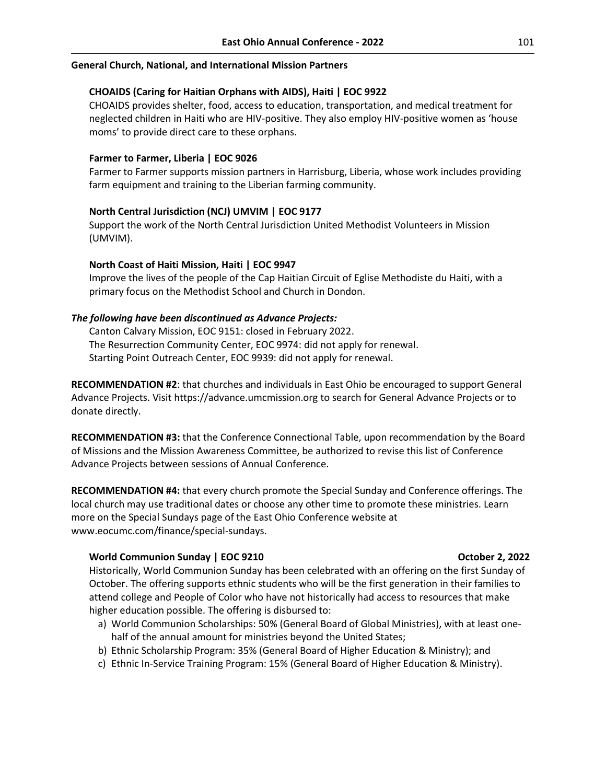#### **General Church, National, and International Mission Partners**

## **CHOAIDS (Caring for Haitian Orphans with AIDS), Haiti | EOC 9922**

CHOAIDS provides shelter, food, access to education, transportation, and medical treatment for neglected children in Haiti who are HIV-positive. They also employ HIV-positive women as 'house moms' to provide direct care to these orphans.

#### **Farmer to Farmer, Liberia | EOC 9026**

Farmer to Farmer supports mission partners in Harrisburg, Liberia, whose work includes providing farm equipment and training to the Liberian farming community.

### **North Central Jurisdiction (NCJ) UMVIM | EOC 9177**

Support the work of the North Central Jurisdiction United Methodist Volunteers in Mission (UMVIM).

#### **North Coast of Haiti Mission, Haiti | EOC 9947**

Improve the lives of the people of the Cap Haitian Circuit of Eglise Methodiste du Haiti, with a primary focus on the Methodist School and Church in Dondon.

#### *The following have been discontinued as Advance Projects:*

Canton Calvary Mission, EOC 9151: closed in February 2022. The Resurrection Community Center, EOC 9974: did not apply for renewal. Starting Point Outreach Center, EOC 9939: did not apply for renewal.

**RECOMMENDATION #2**: that churches and individuals in East Ohio be encouraged to support General Advance Projects. Visit https://advance.umcmission.org to search for General Advance Projects or to donate directly.

**RECOMMENDATION #3:** that the Conference Connectional Table, upon recommendation by the Board of Missions and the Mission Awareness Committee, be authorized to revise this list of Conference Advance Projects between sessions of Annual Conference.

**RECOMMENDATION #4:** that every church promote the Special Sunday and Conference offerings. The local church may use traditional dates or choose any other time to promote these ministries. Learn more on the Special Sundays page of the East Ohio Conference website at www.eocumc.com/finance/special-sundays.

#### **World Communion Sunday | EOC 9210 COMPUTE: October 2, 2022**

Historically, World Communion Sunday has been celebrated with an offering on the first Sunday of October. The offering supports ethnic students who will be the first generation in their families to attend college and People of Color who have not historically had access to resources that make higher education possible. The offering is disbursed to:

- a) World Communion Scholarships: 50% (General Board of Global Ministries), with at least onehalf of the annual amount for ministries beyond the United States;
- b) Ethnic Scholarship Program: 35% (General Board of Higher Education & Ministry); and
- c) Ethnic In-Service Training Program: 15% (General Board of Higher Education & Ministry).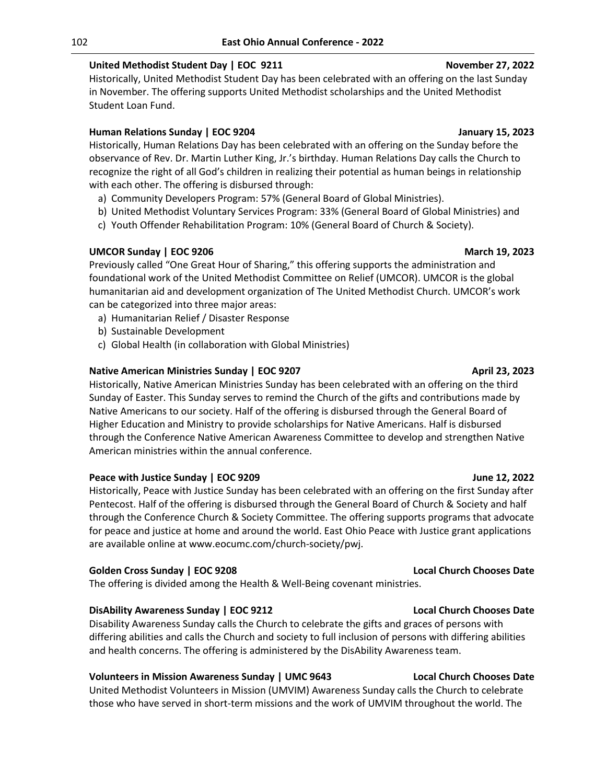# **United Methodist Student Day | EOC 9211 November 27, 2022**

Historically, United Methodist Student Day has been celebrated with an offering on the last Sunday in November. The offering supports United Methodist scholarships and the United Methodist Student Loan Fund.

# **Human Relations Sunday | EOC 9204 January 15, 2023**

Historically, Human Relations Day has been celebrated with an offering on the Sunday before the observance of Rev. Dr. Martin Luther King, Jr.'s birthday. Human Relations Day calls the Church to recognize the right of all God's children in realizing their potential as human beings in relationship with each other. The offering is disbursed through:

- a) Community Developers Program: 57% (General Board of Global Ministries).
- b) United Methodist Voluntary Services Program: 33% (General Board of Global Ministries) and
- c) Youth Offender Rehabilitation Program: 10% (General Board of Church & Society).

# **UMCOR Sunday | EOC 9206 March 19, 2023**

Previously called "One Great Hour of Sharing," this offering supports the administration and foundational work of the United Methodist Committee on Relief (UMCOR). UMCOR is the global humanitarian aid and development organization of The United Methodist Church. UMCOR's work can be categorized into three major areas:

- a) Humanitarian Relief / Disaster Response
- b) Sustainable Development
- c) Global Health (in collaboration with Global Ministries)

# **Native American Ministries Sunday | EOC 9207 April 23, 2023 April 23, 2023**

Historically, Native American Ministries Sunday has been celebrated with an offering on the third Sunday of Easter. This Sunday serves to remind the Church of the gifts and contributions made by Native Americans to our society. Half of the offering is disbursed through the General Board of Higher Education and Ministry to provide scholarships for Native Americans. Half is disbursed through the Conference Native American Awareness Committee to develop and strengthen Native American ministries within the annual conference.

# **Peace with Justice Sunday | EOC 9209 June 12, 2022**

Historically, Peace with Justice Sunday has been celebrated with an offering on the first Sunday after Pentecost. Half of the offering is disbursed through the General Board of Church & Society and half through the Conference Church & Society Committee. The offering supports programs that advocate for peace and justice at home and around the world. East Ohio Peace with Justice grant applications are available online at www.eocumc.com/church-society/pwj.

# **Golden Cross Sunday | EOC 9208 Local Church Chooses Date**

The offering is divided among the Health & Well-Being covenant ministries.

# **DisAbility Awareness Sunday | EOC 9212 Local Church Chooses Date**

Disability Awareness Sunday calls the Church to celebrate the gifts and graces of persons with differing abilities and calls the Church and society to full inclusion of persons with differing abilities and health concerns. The offering is administered by the DisAbility Awareness team.

# **Volunteers in Mission Awareness Sunday | UMC 9643 Local Church Chooses Date**

United Methodist Volunteers in Mission (UMVIM) Awareness Sunday calls the Church to celebrate those who have served in short-term missions and the work of UMVIM throughout the world. The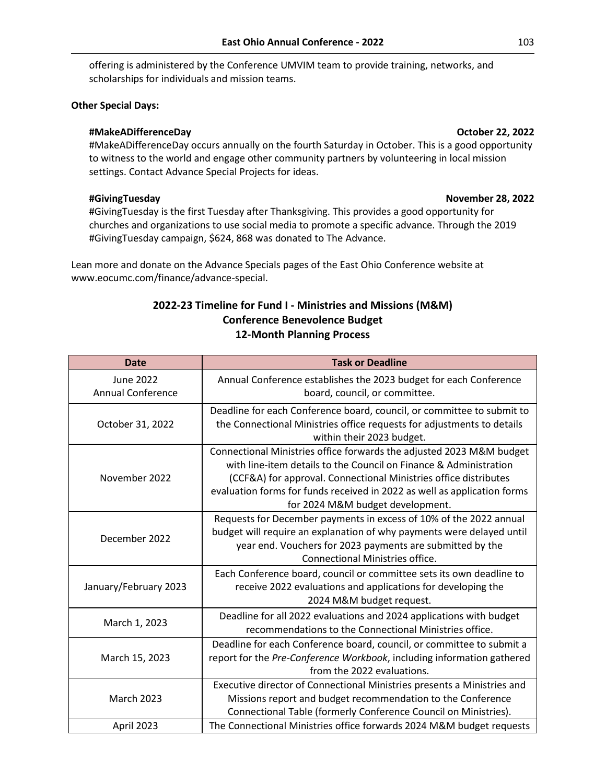offering is administered by the Conference UMVIM team to provide training, networks, and scholarships for individuals and mission teams.

## **Other Special Days:**

## **#MakeADifferenceDay October 22, 2022**

#MakeADifferenceDay occurs annually on the fourth Saturday in October. This is a good opportunity to witness to the world and engage other community partners by volunteering in local mission settings. Contact Advance Special Projects for ideas.

## **#GivingTuesday November 28, 2022**

#GivingTuesday is the first Tuesday after Thanksgiving. This provides a good opportunity for churches and organizations to use social media to promote a specific advance. Through the 2019 #GivingTuesday campaign, \$624, 868 was donated to The Advance.

Lean more and donate on the Advance Specials pages of the East Ohio Conference website at [www.eocumc.com/finance/advance-special.](http://www.eocumc.com/finance/advance-special)

# **2022-23 Timeline for Fund I - Ministries and Missions (M&M) Conference Benevolence Budget 12-Month Planning Process**

| <b>Date</b>                                  | <b>Task or Deadline</b>                                                                                                                                                                                                                                                                                                       |
|----------------------------------------------|-------------------------------------------------------------------------------------------------------------------------------------------------------------------------------------------------------------------------------------------------------------------------------------------------------------------------------|
| <b>June 2022</b><br><b>Annual Conference</b> | Annual Conference establishes the 2023 budget for each Conference<br>board, council, or committee.                                                                                                                                                                                                                            |
| October 31, 2022                             | Deadline for each Conference board, council, or committee to submit to<br>the Connectional Ministries office requests for adjustments to details<br>within their 2023 budget.                                                                                                                                                 |
| November 2022                                | Connectional Ministries office forwards the adjusted 2023 M&M budget<br>with line-item details to the Council on Finance & Administration<br>(CCF&A) for approval. Connectional Ministries office distributes<br>evaluation forms for funds received in 2022 as well as application forms<br>for 2024 M&M budget development. |
| December 2022                                | Requests for December payments in excess of 10% of the 2022 annual<br>budget will require an explanation of why payments were delayed until<br>year end. Vouchers for 2023 payments are submitted by the<br><b>Connectional Ministries office.</b>                                                                            |
| January/February 2023                        | Each Conference board, council or committee sets its own deadline to<br>receive 2022 evaluations and applications for developing the<br>2024 M&M budget request.                                                                                                                                                              |
| March 1, 2023                                | Deadline for all 2022 evaluations and 2024 applications with budget<br>recommendations to the Connectional Ministries office.                                                                                                                                                                                                 |
| March 15, 2023                               | Deadline for each Conference board, council, or committee to submit a<br>report for the Pre-Conference Workbook, including information gathered<br>from the 2022 evaluations.                                                                                                                                                 |
| <b>March 2023</b>                            | Executive director of Connectional Ministries presents a Ministries and<br>Missions report and budget recommendation to the Conference<br>Connectional Table (formerly Conference Council on Ministries).                                                                                                                     |
| April 2023                                   | The Connectional Ministries office forwards 2024 M&M budget requests                                                                                                                                                                                                                                                          |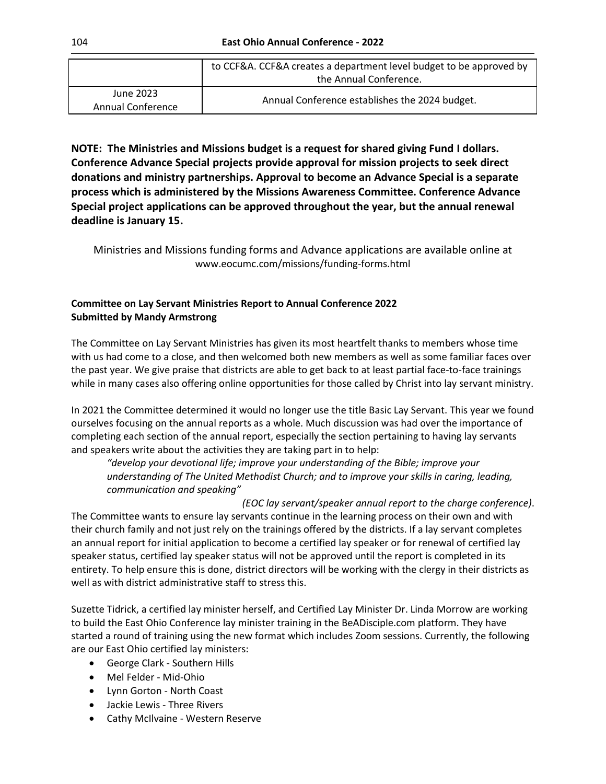|                                | to CCF&A. CCF&A creates a department level budget to be approved by |
|--------------------------------|---------------------------------------------------------------------|
|                                | the Annual Conference.                                              |
| June 2023<br>Annual Conference | Annual Conference establishes the 2024 budget.                      |

**NOTE: The Ministries and Missions budget is a request for shared giving Fund I dollars. Conference Advance Special projects provide approval for mission projects to seek direct donations and ministry partnerships. Approval to become an Advance Special is a separate process which is administered by the Missions Awareness Committee. Conference Advance Special project applications can be approved throughout the year, but the annual renewal deadline is January 15.**

Ministries and Missions funding forms and Advance applications are available online at [www.eocumc.com/missions/funding-forms.html](http://www.eocumc.com/missions/funding-forms.html)

# **Committee on Lay Servant Ministries Report to Annual Conference 2022 Submitted by Mandy Armstrong**

The Committee on Lay Servant Ministries has given its most heartfelt thanks to members whose time with us had come to a close, and then welcomed both new members as well as some familiar faces over the past year. We give praise that districts are able to get back to at least partial face-to-face trainings while in many cases also offering online opportunities for those called by Christ into lay servant ministry.

In 2021 the Committee determined it would no longer use the title Basic Lay Servant. This year we found ourselves focusing on the annual reports as a whole. Much discussion was had over the importance of completing each section of the annual report, especially the section pertaining to having lay servants and speakers write about the activities they are taking part in to help:

*"develop your devotional life; improve your understanding of the Bible; improve your understanding of The United Methodist Church; and to improve your skills in caring, leading, communication and speaking"*

*(EOC lay servant/speaker annual report to the charge conference)*. The Committee wants to ensure lay servants continue in the learning process on their own and with their church family and not just rely on the trainings offered by the districts. If a lay servant completes an annual report for initial application to become a certified lay speaker or for renewal of certified lay speaker status, certified lay speaker status will not be approved until the report is completed in its entirety. To help ensure this is done, district directors will be working with the clergy in their districts as well as with district administrative staff to stress this.

Suzette Tidrick, a certified lay minister herself, and Certified Lay Minister Dr. Linda Morrow are working to build the East Ohio Conference lay minister training in the BeADisciple.com platform. They have started a round of training using the new format which includes Zoom sessions. Currently, the following are our East Ohio certified lay ministers:

- George Clark Southern Hills
- Mel Felder Mid-Ohio
- Lynn Gorton North Coast
- Jackie Lewis Three Rivers
- Cathy McIlvaine Western Reserve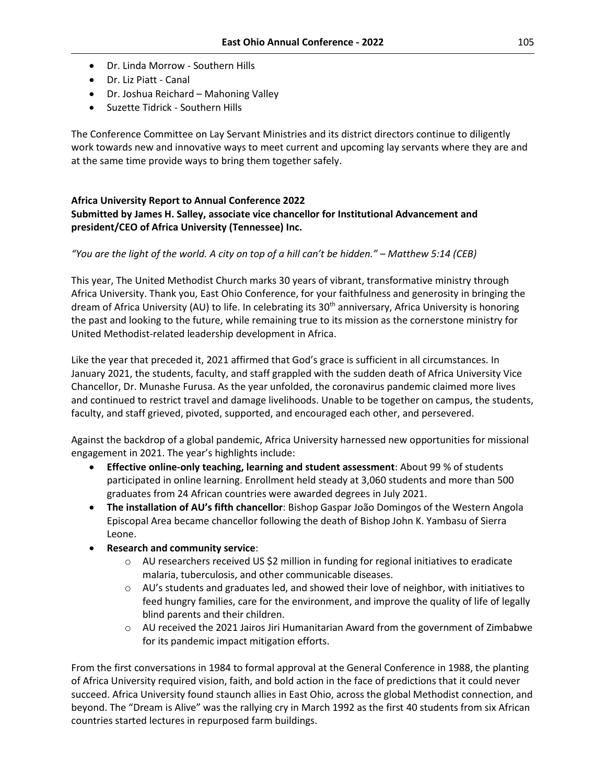- Dr. Linda Morrow Southern Hills
- Dr. Liz Piatt Canal
- Dr. Joshua Reichard Mahoning Valley
- Suzette Tidrick Southern Hills

The Conference Committee on Lay Servant Ministries and its district directors continue to diligently work towards new and innovative ways to meet current and upcoming lay servants where they are and at the same time provide ways to bring them together safely.

# **Africa University Report to Annual Conference 2022 Submitted by James H. Salley, associate vice chancellor for Institutional Advancement and president/CEO of Africa University (Tennessee) Inc.**

# *"You are the light of the world. A city on top of a hill can't be hidden." – Matthew 5:14 (CEB)*

This year, The United Methodist Church marks 30 years of vibrant, transformative ministry through Africa University. Thank you, East Ohio Conference, for your faithfulness and generosity in bringing the dream of Africa University (AU) to life. In celebrating its 30<sup>th</sup> anniversary, Africa University is honoring the past and looking to the future, while remaining true to its mission as the cornerstone ministry for United Methodist-related leadership development in Africa.

Like the year that preceded it, 2021 affirmed that God's grace is sufficient in all circumstances. In January 2021, the students, faculty, and staff grappled with the sudden death of Africa University Vice Chancellor, Dr. Munashe Furusa. As the year unfolded, the coronavirus pandemic claimed more lives and continued to restrict travel and damage livelihoods. Unable to be together on campus, the students, faculty, and staff grieved, pivoted, supported, and encouraged each other, and persevered.

Against the backdrop of a global pandemic, Africa University harnessed new opportunities for missional engagement in 2021. The year's highlights include:

- **Effective online-only teaching, learning and student assessment**: About 99 % of students participated in online learning. Enrollment held steady at 3,060 students and more than 500 graduates from 24 African countries were awarded degrees in July 2021.
- **The installation of AU's fifth chancellor**: Bishop Gaspar João Domingos of the Western Angola Episcopal Area became chancellor following the death of Bishop John K. Yambasu of Sierra Leone.
- **Research and community service**:
	- $\circ$  AU researchers received US \$2 million in funding for regional initiatives to eradicate malaria, tuberculosis, and other communicable diseases.
	- $\circ$  AU's students and graduates led, and showed their love of neighbor, with initiatives to feed hungry families, care for the environment, and improve the quality of life of legally blind parents and their children.
	- $\circ$  AU received the 2021 Jairos Jiri Humanitarian Award from the government of Zimbabwe for its pandemic impact mitigation efforts.

From the first conversations in 1984 to formal approval at the General Conference in 1988, the planting of Africa University required vision, faith, and bold action in the face of predictions that it could never succeed. Africa University found staunch allies in East Ohio, across the global Methodist connection, and beyond. The "Dream is Alive" was the rallying cry in March 1992 as the first 40 students from six African countries started lectures in repurposed farm buildings.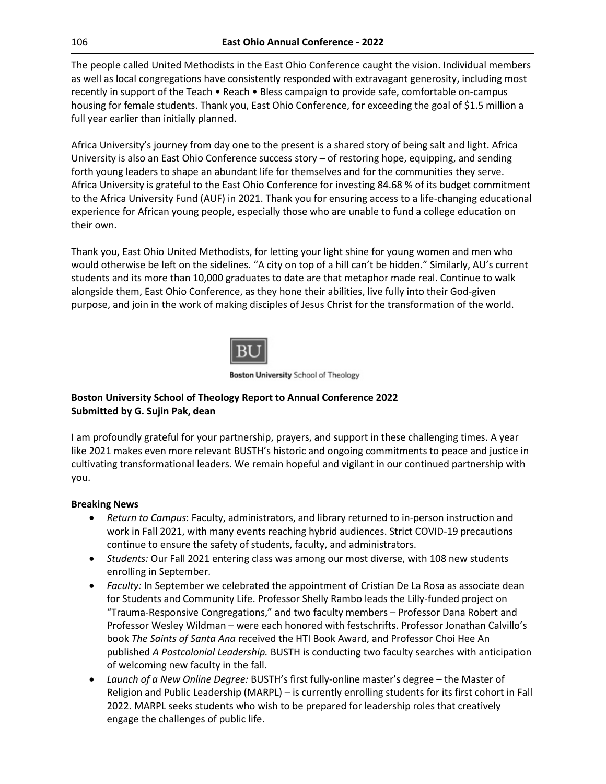The people called United Methodists in the East Ohio Conference caught the vision. Individual members as well as local congregations have consistently responded with extravagant generosity, including most recently in support of the Teach • Reach • Bless campaign to provide safe, comfortable on-campus housing for female students. Thank you, East Ohio Conference, for exceeding the goal of \$1.5 million a full year earlier than initially planned.

Africa University's journey from day one to the present is a shared story of being salt and light. Africa University is also an East Ohio Conference success story – of restoring hope, equipping, and sending forth young leaders to shape an abundant life for themselves and for the communities they serve. Africa University is grateful to the East Ohio Conference for investing 84.68 % of its budget commitment to the Africa University Fund (AUF) in 2021. Thank you for ensuring access to a life-changing educational experience for African young people, especially those who are unable to fund a college education on their own.

Thank you, East Ohio United Methodists, for letting your light shine for young women and men who would otherwise be left on the sidelines. "A city on top of a hill can't be hidden." Similarly, AU's current students and its more than 10,000 graduates to date are that metaphor made real. Continue to walk alongside them, East Ohio Conference, as they hone their abilities, live fully into their God-given purpose, and join in the work of making disciples of Jesus Christ for the transformation of the world.



**Boston University** School of Theology

# **Boston University School of Theology Report to Annual Conference 2022 Submitted by G. Sujin Pak, dean**

I am profoundly grateful for your partnership, prayers, and support in these challenging times. A year like 2021 makes even more relevant BUSTH's historic and ongoing commitments to peace and justice in cultivating transformational leaders. We remain hopeful and vigilant in our continued partnership with you.

# **Breaking News**

- *Return to Campus*: Faculty, administrators, and library returned to in-person instruction and work in Fall 2021, with many events reaching hybrid audiences. Strict COVID-19 precautions continue to ensure the safety of students, faculty, and administrators.
- *Students:* Our Fall 2021 entering class was among our most diverse, with 108 new students enrolling in September.
- *Faculty:* In September we celebrated the appointment of Cristian De La Rosa as associate dean for Students and Community Life. Professor Shelly Rambo leads the Lilly-funded project on "Trauma-Responsive Congregations," and two faculty members – Professor Dana Robert and Professor Wesley Wildman – were each honored with festschrifts. Professor Jonathan Calvillo's book *The Saints of Santa Ana* received the HTI Book Award, and Professor Choi Hee An published *A Postcolonial Leadership.* BUSTH is conducting two faculty searches with anticipation of welcoming new faculty in the fall.
- *Launch of a New Online Degree:* BUSTH's first fully-online master's degree the Master of Religion and Public Leadership (MARPL) – is currently enrolling students for its first cohort in Fall 2022. MARPL seeks students who wish to be prepared for leadership roles that creatively engage the challenges of public life.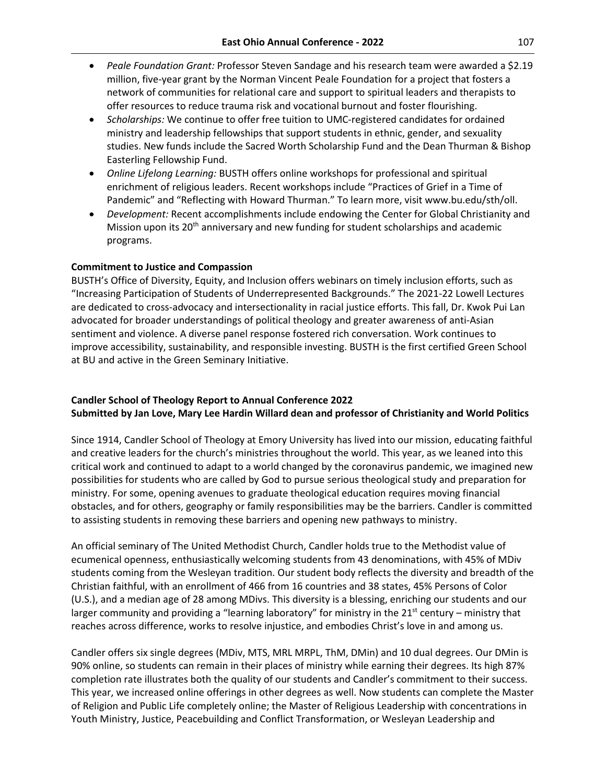- *Peale Foundation Grant:* Professor Steven Sandage and his research team were awarded a \$2.19 million, five-year grant by the Norman Vincent Peale Foundation for a project that fosters a network of communities for relational care and support to spiritual leaders and therapists to offer resources to reduce trauma risk and vocational burnout and foster flourishing.
- *Scholarships:* We continue to offer free tuition to UMC-registered candidates for ordained ministry and leadership fellowships that support students in ethnic, gender, and sexuality studies. New funds include the Sacred Worth Scholarship Fund and the Dean Thurman & Bishop Easterling Fellowship Fund.
- *Online Lifelong Learning:* BUSTH offers online workshops for professional and spiritual enrichment of religious leaders. Recent workshops include "Practices of Grief in a Time of Pandemic" and "Reflecting with Howard Thurman." To learn more, visit www.bu.edu/sth/oll.
- *Development:* Recent accomplishments include endowing the Center for Global Christianity and Mission upon its 20<sup>th</sup> anniversary and new funding for student scholarships and academic programs.

# **Commitment to Justice and Compassion**

BUSTH's Office of Diversity, Equity, and Inclusion offers webinars on timely inclusion efforts, such as "Increasing Participation of Students of Underrepresented Backgrounds." The 2021-22 Lowell Lectures are dedicated to cross-advocacy and intersectionality in racial justice efforts. This fall, Dr. Kwok Pui Lan advocated for broader understandings of political theology and greater awareness of anti-Asian sentiment and violence. A diverse panel response fostered rich conversation. Work continues to improve accessibility, sustainability, and responsible investing. BUSTH is the first certified Green School at BU and active in the Green Seminary Initiative.

# **Candler School of Theology Report to Annual Conference 2022 Submitted by Jan Love, Mary Lee Hardin Willard dean and professor of Christianity and World Politics**

Since 1914, Candler School of Theology at Emory University has lived into our mission, educating faithful and creative leaders for the church's ministries throughout the world. This year, as we leaned into this critical work and continued to adapt to a world changed by the coronavirus pandemic, we imagined new possibilities for students who are called by God to pursue serious theological study and preparation for ministry. For some, opening avenues to graduate theological education requires moving financial obstacles, and for others, geography or family responsibilities may be the barriers. Candler is committed to assisting students in removing these barriers and opening new pathways to ministry.

An official seminary of The United Methodist Church, Candler holds true to the Methodist value of ecumenical openness, enthusiastically welcoming students from 43 denominations, with 45% of MDiv students coming from the Wesleyan tradition. Our student body reflects the diversity and breadth of the Christian faithful, with an enrollment of 466 from 16 countries and 38 states, 45% Persons of Color (U.S.), and a median age of 28 among MDivs. This diversity is a blessing, enriching our students and our larger community and providing a "learning laboratory" for ministry in the  $21<sup>st</sup>$  century – ministry that reaches across difference, works to resolve injustice, and embodies Christ's love in and among us.

Candler offers six single degrees (MDiv, MTS, MRL MRPL, ThM, DMin) and 10 dual degrees. Our DMin is 90% online, so students can remain in their places of ministry while earning their degrees. Its high 87% completion rate illustrates both the quality of our students and Candler's commitment to their success. This year, we increased online offerings in other degrees as well. Now students can complete the Master of Religion and Public Life completely online; the Master of Religious Leadership with concentrations in Youth Ministry, Justice, Peacebuilding and Conflict Transformation, or Wesleyan Leadership and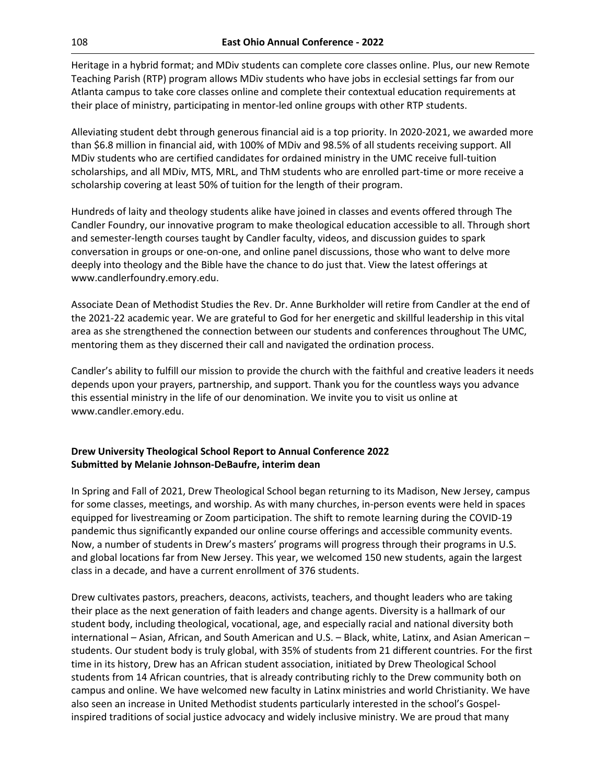Heritage in a hybrid format; and MDiv students can complete core classes online. Plus, our new Remote Teaching Parish (RTP) program allows MDiv students who have jobs in ecclesial settings far from our Atlanta campus to take core classes online and complete their contextual education requirements at their place of ministry, participating in mentor-led online groups with other RTP students.

Alleviating student debt through generous financial aid is a top priority. In 2020-2021, we awarded more than \$6.8 million in financial aid, with 100% of MDiv and 98.5% of all students receiving support. All MDiv students who are certified candidates for ordained ministry in the UMC receive full-tuition scholarships, and all MDiv, MTS, MRL, and ThM students who are enrolled part-time or more receive a scholarship covering at least 50% of tuition for the length of their program.

Hundreds of laity and theology students alike have joined in classes and events offered through The Candler Foundry, our innovative program to make theological education accessible to all. Through short and semester-length courses taught by Candler faculty, videos, and discussion guides to spark conversation in groups or one-on-one, and online panel discussions, those who want to delve more deeply into theology and the Bible have the chance to do just that. View the latest offerings at www.candlerfoundry.emory.edu.

Associate Dean of Methodist Studies the Rev. Dr. Anne Burkholder will retire from Candler at the end of the 2021-22 academic year. We are grateful to God for her energetic and skillful leadership in this vital area as she strengthened the connection between our students and conferences throughout The UMC, mentoring them as they discerned their call and navigated the ordination process.

Candler's ability to fulfill our mission to provide the church with the faithful and creative leaders it needs depends upon your prayers, partnership, and support. Thank you for the countless ways you advance this essential ministry in the life of our denomination. We invite you to visit us online at www.candler.emory.edu.

# **Drew University Theological School Report to Annual Conference 2022 Submitted by Melanie Johnson-DeBaufre, interim dean**

In Spring and Fall of 2021, Drew Theological School began returning to its Madison, New Jersey, campus for some classes, meetings, and worship. As with many churches, in-person events were held in spaces equipped for livestreaming or Zoom participation. The shift to remote learning during the COVID-19 pandemic thus significantly expanded our online course offerings and accessible community events. Now, a number of students in Drew's masters' programs will progress through their programs in U.S. and global locations far from New Jersey. This year, we welcomed 150 new students, again the largest class in a decade, and have a current enrollment of 376 students.

Drew cultivates pastors, preachers, deacons, activists, teachers, and thought leaders who are taking their place as the next generation of faith leaders and change agents. Diversity is a hallmark of our student body, including theological, vocational, age, and especially racial and national diversity both international – Asian, African, and South American and U.S. – Black, white, Latinx, and Asian American – students. Our student body is truly global, with 35% of students from 21 different countries. For the first time in its history, Drew has an African student association, initiated by Drew Theological School students from 14 African countries, that is already contributing richly to the Drew community both on campus and online. We have welcomed new faculty in Latinx ministries and world Christianity. We have also seen an increase in United Methodist students particularly interested in the school's Gospelinspired traditions of social justice advocacy and widely inclusive ministry. We are proud that many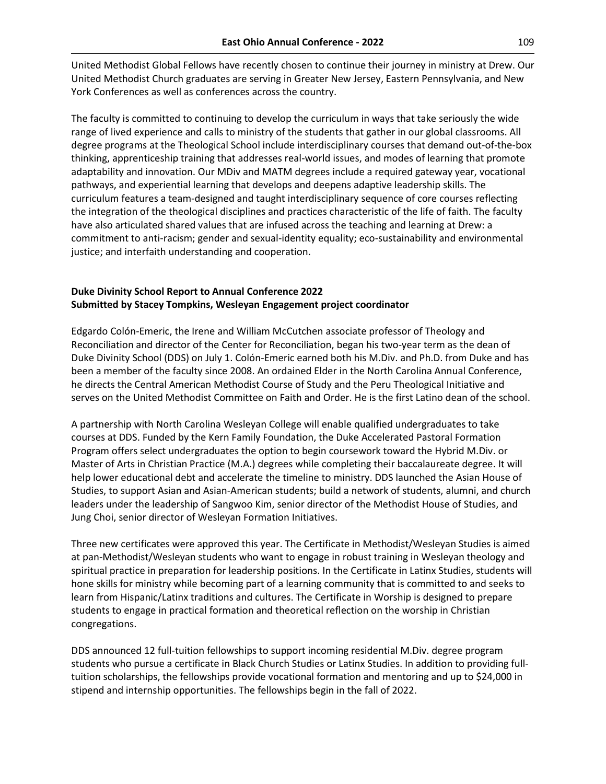United Methodist Global Fellows have recently chosen to continue their journey in ministry at Drew. Our United Methodist Church graduates are serving in Greater New Jersey, Eastern Pennsylvania, and New York Conferences as well as conferences across the country.

The faculty is committed to continuing to develop the curriculum in ways that take seriously the wide range of lived experience and calls to ministry of the students that gather in our global classrooms. All degree programs at the Theological School include interdisciplinary courses that demand out-of-the-box thinking, apprenticeship training that addresses real-world issues, and modes of learning that promote adaptability and innovation. Our MDiv and MATM degrees include a required gateway year, vocational pathways, and experiential learning that develops and deepens adaptive leadership skills. The curriculum features a team-designed and taught interdisciplinary sequence of core courses reflecting the integration of the theological disciplines and practices characteristic of the life of faith. The faculty have also articulated shared values that are infused across the teaching and learning at Drew: a commitment to anti-racism; gender and sexual-identity equality; eco-sustainability and environmental justice; and interfaith understanding and cooperation.

# **Duke Divinity School Report to Annual Conference 2022 Submitted by Stacey Tompkins, Wesleyan Engagement project coordinator**

Edgardo Colón-Emeric, the Irene and William McCutchen associate professor of Theology and Reconciliation and director of the Center for Reconciliation, began his two-year term as the dean of Duke Divinity School (DDS) on July 1. Colón-Emeric earned both his M.Div. and Ph.D. from Duke and has been a member of the faculty since 2008. An ordained Elder in the North Carolina Annual Conference, he directs the Central American Methodist Course of Study and the Peru Theological Initiative and serves on the United Methodist Committee on Faith and Order. He is the first Latino dean of the school.

A partnership with North Carolina Wesleyan College will enable qualified undergraduates to take courses at DDS. Funded by the Kern Family Foundation, the Duke Accelerated Pastoral Formation Program offers select undergraduates the option to begin coursework toward the Hybrid M.Div. or Master of Arts in Christian Practice (M.A.) degrees while completing their baccalaureate degree. It will help lower educational debt and accelerate the timeline to ministry. DDS launched the Asian House of Studies, to support Asian and Asian-American students; build a network of students, alumni, and church leaders under the leadership of Sangwoo Kim, senior director of the Methodist House of Studies, and Jung Choi, senior director of Wesleyan Formation Initiatives.

Three new certificates were approved this year. The Certificate in Methodist/Wesleyan Studies is aimed at pan-Methodist/Wesleyan students who want to engage in robust training in Wesleyan theology and spiritual practice in preparation for leadership positions. In the Certificate in Latinx Studies, students will hone skills for ministry while becoming part of a learning community that is committed to and seeks to learn from Hispanic/Latinx traditions and cultures. The Certificate in Worship is designed to prepare students to engage in practical formation and theoretical reflection on the worship in Christian congregations.

DDS announced 12 full-tuition fellowships to support incoming residential M.Div. degree program students who pursue a certificate in Black Church Studies or Latinx Studies. In addition to providing fulltuition scholarships, the fellowships provide vocational formation and mentoring and up to \$24,000 in stipend and internship opportunities. The fellowships begin in the fall of 2022.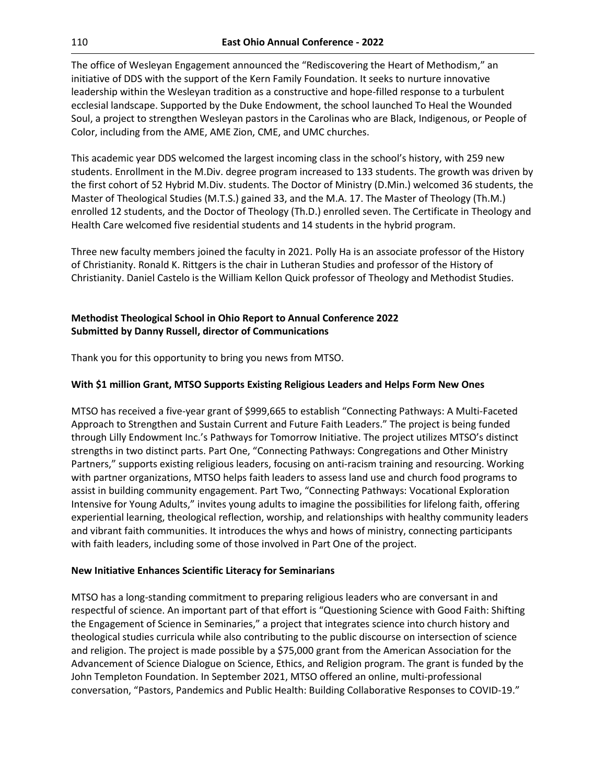The office of Wesleyan Engagement announced the "Rediscovering the Heart of Methodism," an initiative of DDS with the support of the Kern Family Foundation. It seeks to nurture innovative leadership within the Wesleyan tradition as a constructive and hope-filled response to a turbulent ecclesial landscape. Supported by the Duke Endowment, the school launched To Heal the Wounded Soul, a project to strengthen Wesleyan pastors in the Carolinas who are Black, Indigenous, or People of Color, including from the AME, AME Zion, CME, and UMC churches.

This academic year DDS welcomed the largest incoming class in the school's history, with 259 new students. Enrollment in the M.Div. degree program increased to 133 students. The growth was driven by the first cohort of 52 Hybrid M.Div. students. The Doctor of Ministry (D.Min.) welcomed 36 students, the Master of Theological Studies (M.T.S.) gained 33, and the M.A. 17. The Master of Theology (Th.M.) enrolled 12 students, and the Doctor of Theology (Th.D.) enrolled seven. The Certificate in Theology and Health Care welcomed five residential students and 14 students in the hybrid program.

Three new faculty members joined the faculty in 2021. Polly Ha is an associate professor of the History of Christianity. Ronald K. Rittgers is the chair in Lutheran Studies and professor of the History of Christianity. Daniel Castelo is the William Kellon Quick professor of Theology and Methodist Studies.

# **Methodist Theological School in Ohio Report to Annual Conference 2022 Submitted by Danny Russell, director of Communications**

Thank you for this opportunity to bring you news from MTSO.

# **With \$1 million Grant, MTSO Supports Existing Religious Leaders and Helps Form New Ones**

MTSO has received a five-year grant of \$999,665 to establish "Connecting Pathways: A Multi-Faceted Approach to Strengthen and Sustain Current and Future Faith Leaders." The project is being funded through Lilly Endowment Inc.'s Pathways for Tomorrow Initiative. The project utilizes MTSO's distinct strengths in two distinct parts. Part One, "Connecting Pathways: Congregations and Other Ministry Partners," supports existing religious leaders, focusing on anti-racism training and resourcing. Working with partner organizations, MTSO helps faith leaders to assess land use and church food programs to assist in building community engagement. Part Two, "Connecting Pathways: Vocational Exploration Intensive for Young Adults," invites young adults to imagine the possibilities for lifelong faith, offering experiential learning, theological reflection, worship, and relationships with healthy community leaders and vibrant faith communities. It introduces the whys and hows of ministry, connecting participants with faith leaders, including some of those involved in Part One of the project.

# **New Initiative Enhances Scientific Literacy for Seminarians**

MTSO has a long-standing commitment to preparing religious leaders who are conversant in and respectful of science. An important part of that effort is "Questioning Science with Good Faith: Shifting the Engagement of Science in Seminaries," a project that integrates science into church history and theological studies curricula while also contributing to the public discourse on intersection of science and religion. The project is made possible by a \$75,000 grant from the American Association for the Advancement of Science Dialogue on Science, Ethics, and Religion program. The grant is funded by the John Templeton Foundation. In September 2021, MTSO offered an online, multi-professional conversation, "Pastors, Pandemics and Public Health: Building Collaborative Responses to COVID-19."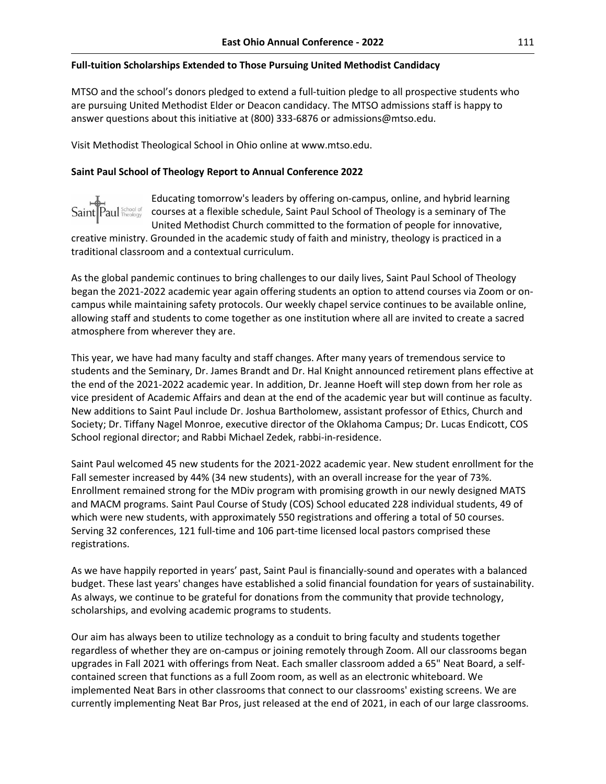## **Full-tuition Scholarships Extended to Those Pursuing United Methodist Candidacy**

MTSO and the school's donors pledged to extend a full-tuition pledge to all prospective students who are pursuing United Methodist Elder or Deacon candidacy. The MTSO admissions staff is happy to answer questions about this initiative at (800) 333-6876 or admissions@mtso.edu.

Visit Methodist Theological School in Ohio online at www.mtso.edu.

## **Saint Paul School of Theology Report to Annual Conference 2022**



Educating tomorrow's leaders by offering on-campus, online, and hybrid learning courses at a flexible schedule, Saint Paul School of Theology is a seminary of The United Methodist Church committed to the formation of people for innovative,

creative ministry. Grounded in the academic study of faith and ministry, theology is practiced in a traditional classroom and a contextual curriculum.

As the global pandemic continues to bring challenges to our daily lives, Saint Paul School of Theology began the 2021-2022 academic year again offering students an option to attend courses via Zoom or oncampus while maintaining safety protocols. Our weekly chapel service continues to be available online, allowing staff and students to come together as one institution where all are invited to create a sacred atmosphere from wherever they are.

This year, we have had many faculty and staff changes. After many years of tremendous service to students and the Seminary, Dr. James Brandt and Dr. Hal Knight announced retirement plans effective at the end of the 2021-2022 academic year. In addition, Dr. Jeanne Hoeft will step down from her role as vice president of Academic Affairs and dean at the end of the academic year but will continue as faculty. New additions to Saint Paul include Dr. Joshua Bartholomew, assistant professor of Ethics, Church and Society; Dr. Tiffany Nagel Monroe, executive director of the Oklahoma Campus; Dr. Lucas Endicott, COS School regional director; and Rabbi Michael Zedek, rabbi-in-residence.

Saint Paul welcomed 45 new students for the 2021-2022 academic year. New student enrollment for the Fall semester increased by 44% (34 new students), with an overall increase for the year of 73%. Enrollment remained strong for the MDiv program with promising growth in our newly designed MATS and MACM programs. Saint Paul Course of Study (COS) School educated 228 individual students, 49 of which were new students, with approximately 550 registrations and offering a total of 50 courses. Serving 32 conferences, 121 full-time and 106 part-time licensed local pastors comprised these registrations.

As we have happily reported in years' past, Saint Paul is financially-sound and operates with a balanced budget. These last years' changes have established a solid financial foundation for years of sustainability. As always, we continue to be grateful for donations from the community that provide technology, scholarships, and evolving academic programs to students.

Our aim has always been to utilize technology as a conduit to bring faculty and students together regardless of whether they are on-campus or joining remotely through Zoom. All our classrooms began upgrades in Fall 2021 with offerings from Neat. Each smaller classroom added a 65" Neat Board, a selfcontained screen that functions as a full Zoom room, as well as an electronic whiteboard. We implemented Neat Bars in other classrooms that connect to our classrooms' existing screens. We are currently implementing Neat Bar Pros, just released at the end of 2021, in each of our large classrooms.